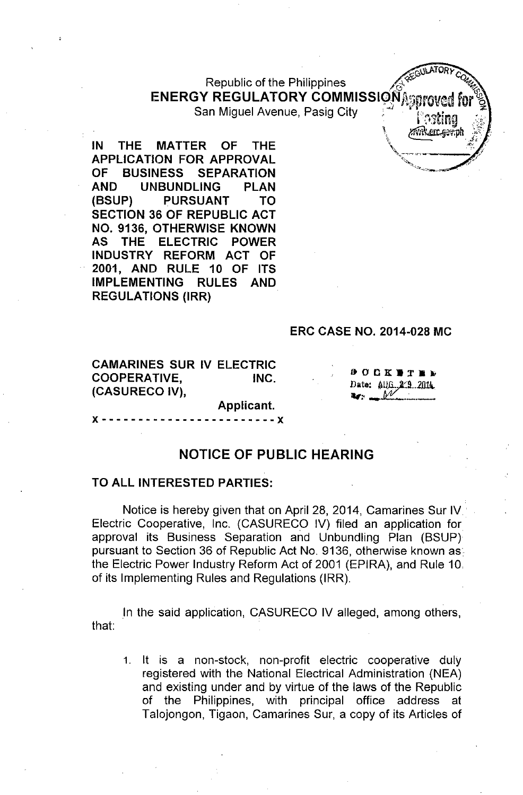## Republic of the Philippines **ENERGY REGULATORY COMMISSION**<sup>25</sup>

San Miguel Avenue, Pasig City

**IN THE MATTER OF THE APPLICATION FOR APPROVAL OF BUSINESS SEPARATION AND UNBUNDLING PLAN (BSUP) PURSUANT TO SECTION 36 OF REPUBLIC ACT NO. 9136, OTHERWISE KNOWN AS THE ELECTRIC POWER INDUSTRY REFORM ACT OF 2001, AND RULE 10 OF ITS IMPLEMENTING RULES AND REGULATIONS (IRR)**

#### **ERC CASE NO. 2014-028 MC**

**CAMARINES SUR IV ELECTRIC COOPERATIVE, INC. (CASURECO IV),**

 $000K$   $T$   $R$   $D$ Date: AUG. 2/9.2014

**WATORY** 

zwikercesti

# **Applicant.** }( - - - - - - - - - - - - - - - - - - - - - .- - }(

#### **NOTICE OF PUBLIC HEARING**

#### **TO ALL INTERESTED PARTIES:**

Notice is hereby given that on April 28, 2014, Camarines Sur IV Electric Cooperative, Inc. (CASURECO IV) filed an application for approval its Business Separation and Unbundling Plan (BSUP) pursuant to Section 36 of Republic Act No. 9136, otherwise known as the Electric Power Industry Reform Act of 2001 (EPIRA), and Rule 10, of its Implementing Rules and Regulations (IRR).

In the said application, CASURECO IV alleged, among others, that:

1. It is a non-stock, non-profit electric cooperative duly registered with the National Electrical Administration (NEA) and existing under and by virtue of the laws of the Republic of the Philippines, with principal office address at Talojongon, Tigaon, Camarines Sur, a copy of its Articles of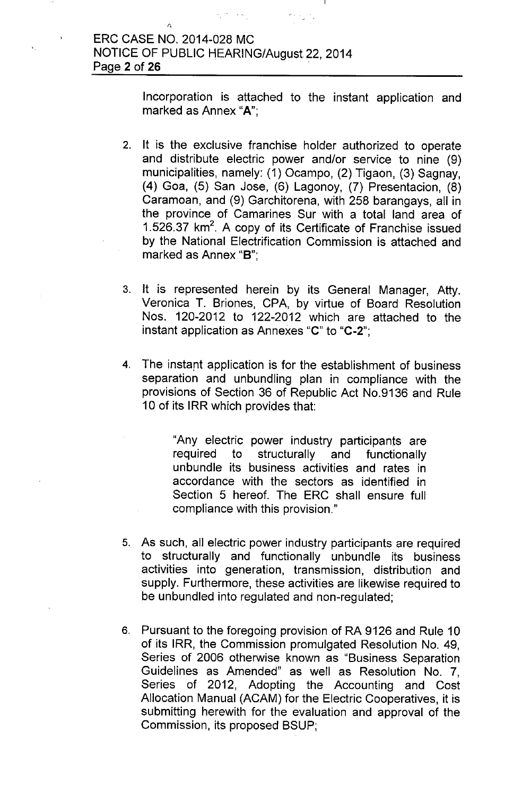Incorporation is attached to the instant application and marked as Annex "A";

- 2. It is the exclusive franchise holder authorized to operate and distribute electric power and/or service to nine (9) municipalities, namely: (1) Ocampo, (2) Tigaon, (3) Sagnay, (4) Goa, (5) San Jose, (6) Lagonoy, (7) Presentacion, (8) Caramoan, and (9) Garchitorena, with 258 barangays, all in the province of Camarines Sur with a total land area of 1.526.37 km<sup>2</sup>. A copy of its Certificate of Franchise issued by the National Electrification Commission is attached and marked as Annex "B":
- 3. It is represented herein by its General Manager, Atty. Veronica T. Briones, CPA, by virtue of Board Resolution Nos. 120-2012 to 122-2012 which are attached to the instant application as Annexes "C" to "C-2";
- 4. The instant application is for the establishment of business separation and unbundling plan in compliance with the provisions of Section 36 of Republic Act NO.9136 and Rule 10 of its IRR which provides that:
	- "Any electric power industry participants are required to structurally and functionally unbundle its business activities and rates in accordance with the sectors as identified in Section 5 hereof. The ERC shall ensure full compliance with this provision."
- 5. As such, all electric power industry participants are required to structurally and functionally unbundle its business activities into generation, transmission, distribution and supply. Furthermore, these activities are likewise required to be unbundled into regulated and non-regulated;
- 6. Pursuant to the foregoing provision of RA 9126 and Rule 10 of its IRR, the Commission promulgated Resolution No. 49, Series of 2006 otherwise known as "Business Separation Guidelines as Amended" as well as Resolution NO.7, Series of 2012, Adopting the Accounting and Cost Allocation Manual (ACAM) for the Electric Cooperatives, it is submitting herewith for the evaluation and approval of the Commission, its proposed BSUP;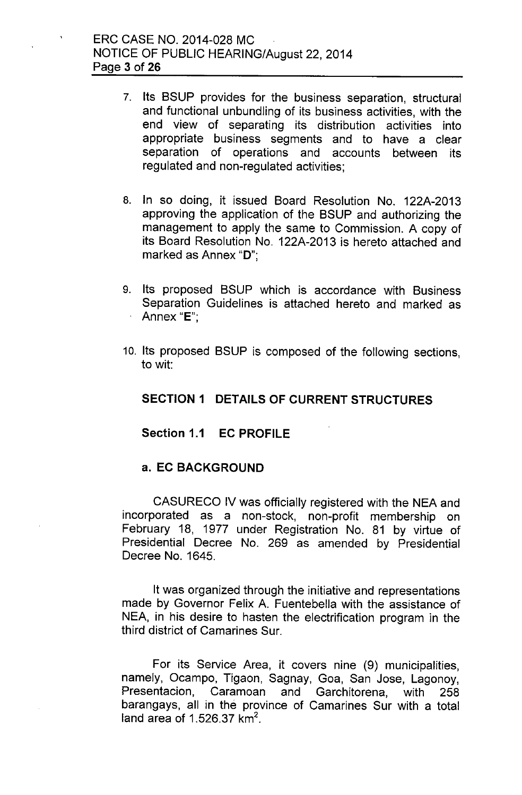- 7. Its BSUP provides for the business separation, structural and functional unbundling of its business activities, with the end view of separating its distribution activities into appropriate business segments and to have a clear separation of operations and accounts between its regulated and non-regulated activities;
- 8. In so doing, it issued Board Resolution No. 122A-2013 approving the application of the BSUP and authorizing the management to apply the same to Commission. A copy of its Board Resolution No. 122A-2013 is hereto attached and marked as Annex "D":
- 9. Its proposed BSUP which is accordance with Business Separation Guidelines is attached hereto and marked as Annex "E":
- 10. Its proposed BSUP is composed of the following sections, to wit:

#### **SECTION 1 DETAILS OF CURRENT STRUCTURES**

#### **Section 1.1 EC PROFILE**

#### **a. EC BACKGROUND**

CASURECO IV was officially registered with the NEA and incorporated as a non-stock, non-profit membership on February 18, 1977 under Registration No. 81 by virtue of Presidential Decree No. 269 as amended by Presidential Decree No. 1645.

It was organized through the initiative and representations made by Governor Felix A. Fuentebella with the assistance of NEA, in his desire to hasten the electrification program in the third district of Camarines Sur.

For its Service Area, it covers nine (9) municipalities, namely, Ocampo, Tigaon, Sagnay, Goa, San Jose, Lagonoy, Presentacion, Caramoan and Garchitorena, with 258 barangays, all in the province of Camarines Sur with a total land area of 1.526.37 km $^2$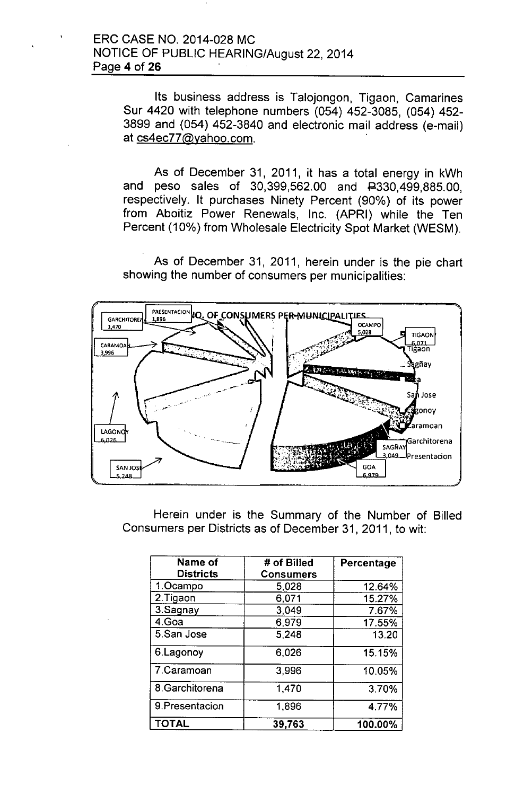Its business address is Talojongon, Tigaon, Camarines Sur 4420 with telephone numbers (054) 452-3085, (054) 452- 3899 and (054) 452-3840 and electronic mail address (e-mail) at [cs4ec77@yahoo.com.](mailto:cs4ec77@yahoo.com.) .

As of December 31, 2011, it has a total energy in kWh and peso sales of 30,399,562.00 and #330,499,885.00, respectively. It purchases Ninety Percent (90%) of its power from Aboitiz Power Renewals, Inc. (APRI) while the Ten Percent (10%) from Wholesale Electricity Spot Market (WESM).

As of December 31, 2011, herein under is the pie chart showing the number of consumers per municipalities:



Herein under is the Summary of the Number of Billed Consumers per Districts as of December 31, 2011, to wit:

| Name of<br><b>Districts</b> | # of Billed<br><b>Consumers</b> | Percentage |
|-----------------------------|---------------------------------|------------|
| 1.Ocampo                    | 5,028                           | 12.64%     |
| 2.Tigaon                    | 6,071                           | 15.27%     |
| 3.Sagnay                    | 3,049                           | 7.67%      |
| 4.Goa                       | 6,979                           | 17.55%     |
| 5.San Jose                  | 5,248                           | 13.20      |
| 6.Lagonoy                   | 6,026                           | 15.15%     |
| 7.Caramoan                  | 3,996                           | 10.05%     |
| 8.Garchitorena              | 1,470                           | 3.70%      |
| 9. Presentacion             | 1,896                           | 4.77%      |
| <b>TOTAL</b>                | 39,763                          | 100.00%    |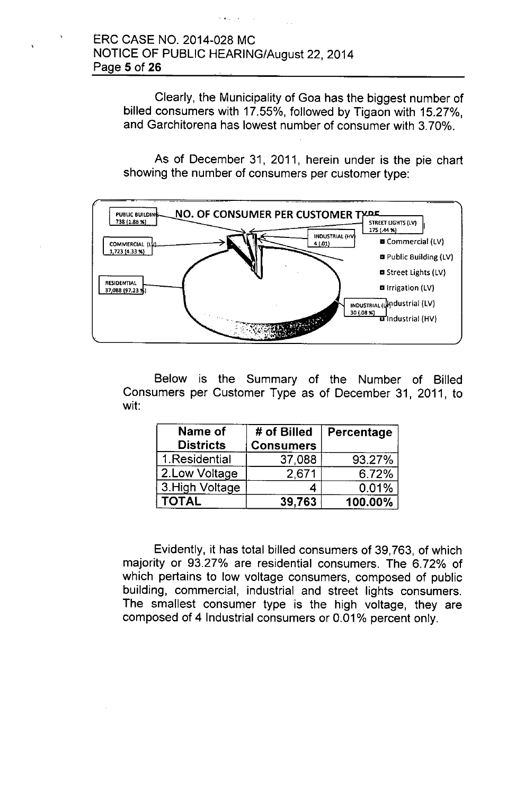, < ,

Clearly, the Municipality of Goa has the biggest number of billed consumers with 17.55%, followed by Tigaon with 15.27%, and Garchitorena has lowest number of consumer with 3.70%.

As of December 31, 2011, herein under is the pie chart showing the number of consumers per customer type:



Below is the Summary of the Number of Billed Consumers per Customer Type as of December 31, 2011, to wit:

| Name of<br><b>Districts</b> | # of Billed<br><b>Consumers</b> | Percentage |
|-----------------------------|---------------------------------|------------|
| 1.Residential               | 37,088                          | 93.27%     |
| 2.Low Voltage               | 2,671                           | 6.72%      |
| 3. High Voltage             |                                 | 0.01%      |
| <b>TOTAL</b>                | 39,763                          | 100.00%    |

Evidently, it has total billed consumers of 39,763, of which majority or 93.27% are residential consumers. The 6.72% of which pertains to low voltage consumers, composed of public building, commercial, industrial and street lights consumers. The smallest consumer type is the high voltage, they are composed of 4 Industrial consumers or 0.01% percent only.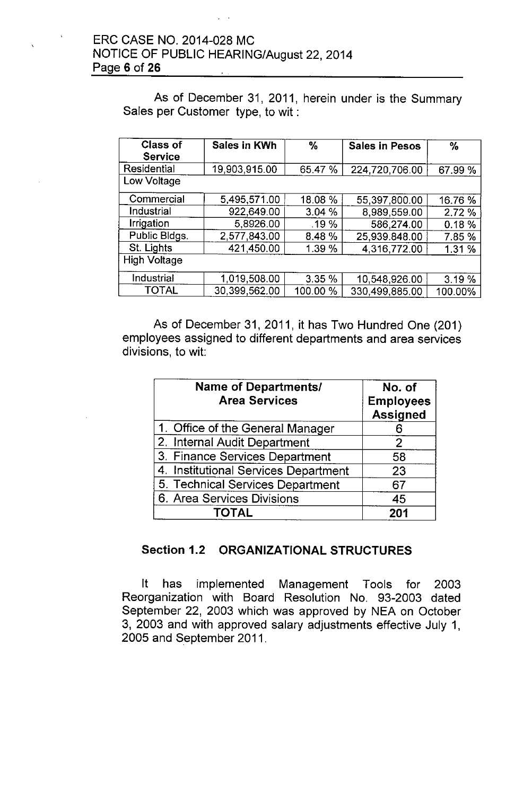As of December 31, 2011, herein under is the Summary Sales per Customer type, to wit:

| <b>Class of</b><br><b>Service</b> | Sales in KWh  | $\%$     | <b>Sales in Pesos</b> | %       |
|-----------------------------------|---------------|----------|-----------------------|---------|
| Residential                       | 19,903,915.00 | 65.47 %  | 224,720,706.00        | 67.99 % |
| Low Voltage                       |               |          |                       |         |
| Commercial                        | 5,495,571.00  | 18.08 %  | 55,397,800.00         | 16.76 % |
| Industrial                        | 922,649.00    | 3.04%    | 8,989,559.00          | 2.72 %  |
| Irrigation                        | 5,8926.00     | .19 %    | 586,274.00            | 0.18%   |
| Public Bldgs.                     | 2,577,843.00  | 8.48%    | 25,939.848.00         | 7.85 %  |
| St. Lights                        | 421,450.00    | 1.39 %   | 4,316,772.00          | 1.31%   |
| <b>High Voltage</b>               |               |          |                       |         |
| Industrial                        | 1.019,508.00  | 3.35 %   | 10,548,926.00         | 3.19 %  |
| TOTAL                             | 30,399,562.00 | 100.00 % | 330.499.885.00        | 100.00% |

As of December 31, 2011, it has Two Hundred One (201) employees assigned to different departments and area services divisions, to wit:

| <b>Name of Departments/</b><br><b>Area Services</b> | No. of<br><b>Employees</b><br><b>Assigned</b> |  |
|-----------------------------------------------------|-----------------------------------------------|--|
| 1. Office of the General Manager                    |                                               |  |
| 2. Internal Audit Department                        | 2                                             |  |
| 3. Finance Services Department                      | 58                                            |  |
| 4. Institutional Services Department                | 23                                            |  |
| 5. Technical Services Department                    | 67                                            |  |
| 6. Area Services Divisions                          | 45                                            |  |
| <b>TOTAL</b>                                        | 201                                           |  |

#### Section 1.2 ORGANIZATIONAL STRUCTURES

It has implemented Management Tools for 2003 Reorganization with Board Resolution No. 93-2003 dated September 22, 2003 which was approved by NEA on October 3, 2003 and with approved salary adjustments effective July 1, 2005 and September 2011.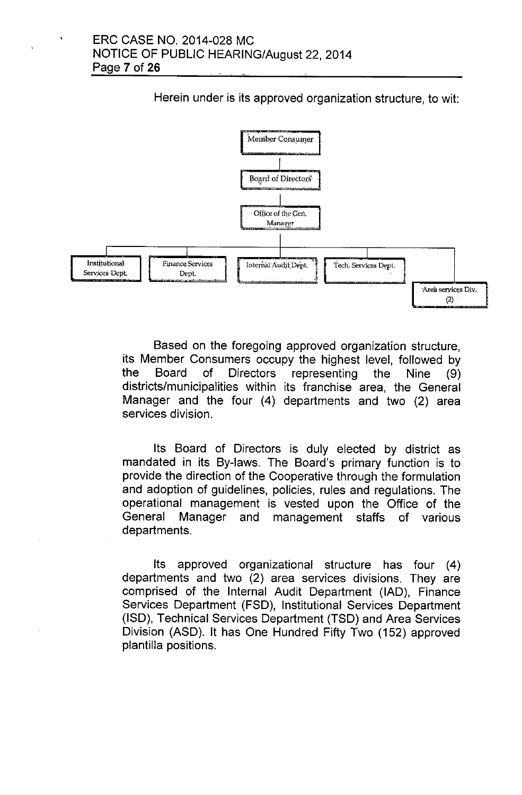Herein under is its approved organization structure, to wit:



Based on the foregoing approved organization structure, its Member Consumers occupy the highest level, followed by the Board of Directors representing the Nine (9) districts/municipalities within its franchise area, the General Manager and the four (4) departments and two (2) area services division.

Its Board of Directors is duly elected by district as mandated in its By-laws. The Board's primary function is to provide the direction of the Cooperative through the formulation and adoption of guidelines, policies, rules and regulations. The operational management is vested upon the Office of the General Manager and management staffs of various departments.

Its approved organizational structure has four (4) departments and two (2) area services divisions. They are comprised of the Internal Audit Department (lAD), Finance Services Department (FSD), Institutional Services Department (ISO), Technical Services Department (TSD) and Area Services Division (ASD). It has One Hundred Fifty Two (152) approved plantilla positions.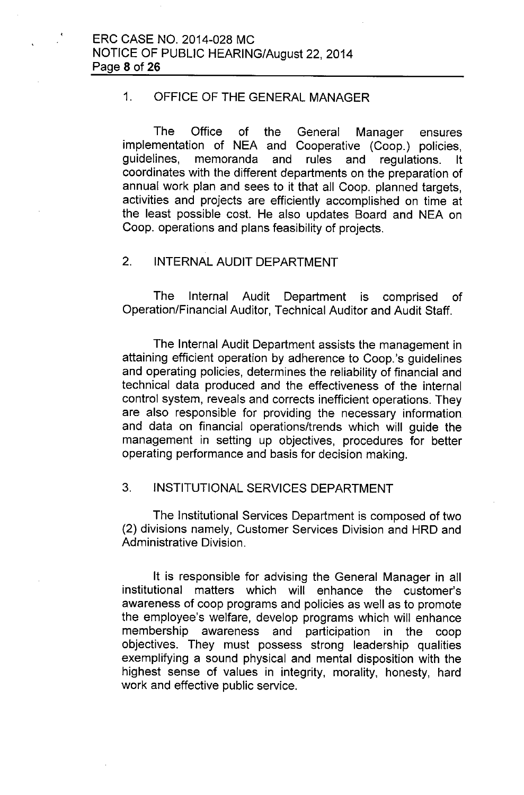#### 1. OFFICE OF THE GENERAL MANAGER

The Office of the General Manager ensures implementation of NEA and Cooperative (Coop.) policies, guidelines, memoranda and rules and regulations. It coordinates with the different departments on the preparation of annual work plan and sees to it that all Coop. planned targets, activities and projects are efficiently accomplished on time at the least possible cost. He also updates Board and NEA on Coop. operations and plans feasibility of projects.

## 2. INTERNAL AUDIT DEPARTMENT

The Internal Audit Department is comprised of Operation/Financial Auditor, Technical Auditor and Audit Staff.

The Internal Audit Department assists the management in attaining efficient operation by adherence to Coop.'s guidelines and operating policies, determines the reliability of financial and technical data produced and the effectiveness of the internal control system, reveals and corrects inefficient operations. They are also responsible for providing the necessary information and data on financial operations/trends which will guide the management in setting up objectives, procedures for better operating performance and basis for decision making.

#### 3. INSTITUTIONAL SERVICES DEPARTMENT

The Institutional Services Department is composed of two (2) divisions namely, Customer Services Division and HRD and Administrative Division.

It is responsible for advising the General Manager in all institutional matters which will enhance the customer's awareness of coop programs and policies as well as to promote the employee's welfare, develop programs which will enhance membership awareness and participation in the coop objectives. They must possess strong leadership qualities exemplifying a sound physical and mental disposition with the highest sense of values in integrity, morality, honesty, hard work and effective public service.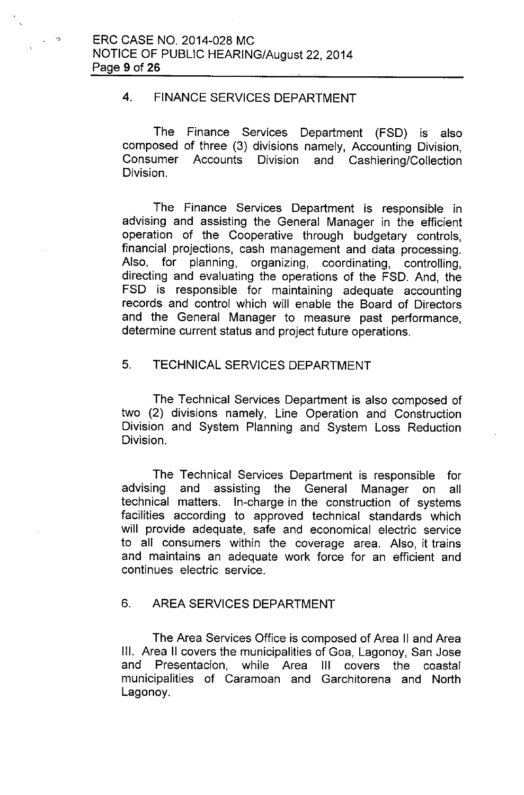#### 4. FINANCE SERVICES DEPARTMENT

The Finance Services Department (FSD) is also composed of three (3) divisions namely, Accounting Division, Consumer Accounts Division and Cashiering/Collection Division.

The Finance Services Department is responsible in advising and assisting the General Manager in the efficient operation of the Cooperative through budgetary controls, financial projections, cash management and data processing. Also, for planning, organizing, coordinating, controlling, directing and evaluating the operations of the FSD. And, the FSD is responsible for maintaining adequate accounting records and control which will enable the Board of Directors and the General Manager to measure past performance, determine current status and project future operations.

#### 5. TECHNICAL SERVICES DEPARTMENT

The Technical Services Department is also composed of two (2) divisions namely, Line Operation and Construction Division and System Planning and System Loss Reduction Division.

The Technical Services Department is responsible for advising and assisting the General Manager on all technical matters. In-charge in the construction of systems facilities according to approved technical standards which will provide adequate, safe and economical electric service to all consumers within the coverage area. Also, it trains and maintains an adequate work force for an efficient and continues electric service.

#### 6. AREA SERVICES DEPARTMENT

The Area Services Office is composed of Area II and Area III. Area II covers the municipalities of Goa, Lagonoy, San Jose and Presentacion, while Area III covers the coastal municipalities of Caramoan and Garchitorena and North Lagonoy.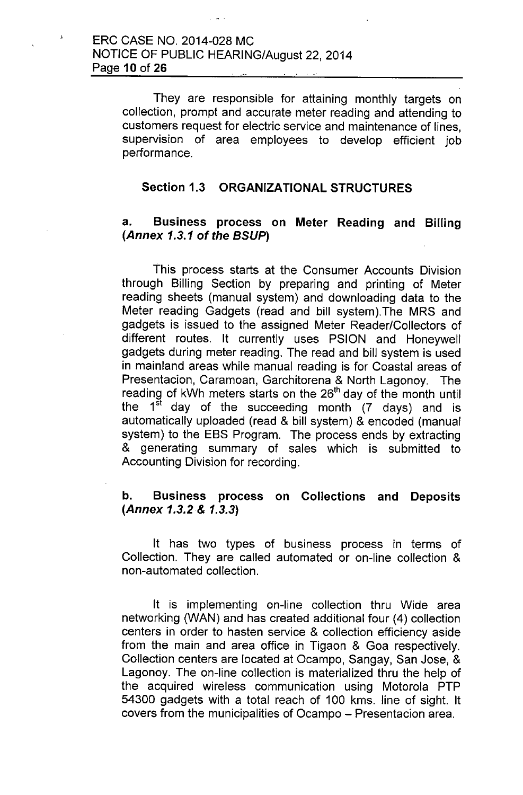They are responsible for attaining monthly targets on collection, prompt and accurate meter reading and attending to customers request for electric service and maintenance of lines, supervision of area employees to develop efficient job performance.

#### Section 1.3 ORGANIZATIONAL STRUCTURES

#### a. Business process on Meter Reading and Billing *(Annex* 1.3.1 of *the BSUP)*

This process starts at the Consumer Accounts Division through Billing Section by preparing and printing of Meter reading sheets (manual system) and downloading data to the Meter reading Gadgets (read and bill system).The MRS and gadgets is issued to the assigned Meter Reader/Collectors of different routes. It currently uses PSION and Honeywell gadgets during meter reading. The read and bill system is used in mainland areas while manual reading is for Coastal areas of Presentacion, Caramoan, Garchitorena & North Lagonoy. The reading of kWh meters starts on the 26<sup>th</sup> day of the month until the 1<sup>st</sup> day of the succeeding month (7 days) and is automatically uploaded (read & bill system) & encoded (manual system) to the EBS Program. The process ends by extracting & generating summary of sales which is submitted to Accounting Division for recording.

#### b. Business process on Collections and Deposits *(Annex* 1.3.2& 1.3.3)

It has two types of business process in terms of Collection. They are called automated or on-line collection & non-automated collection.

It is implementing on-line collection thru Wide area networking (WAN) and has created additional four (4) collection centers in order to hasten service & collection efficiency aside from the main and area office in Tigaon & Goa respectively. Collection centers are located at Ocampo, Sangay, San Jose, & Lagonoy. The on-line collection is materialized thru the help of the acquired wireless communication using Motorola PTP 54300 gadgets with a total reach of 100 kms. line of sight. It covers from the municipalities of Ocampo - Presentacion area.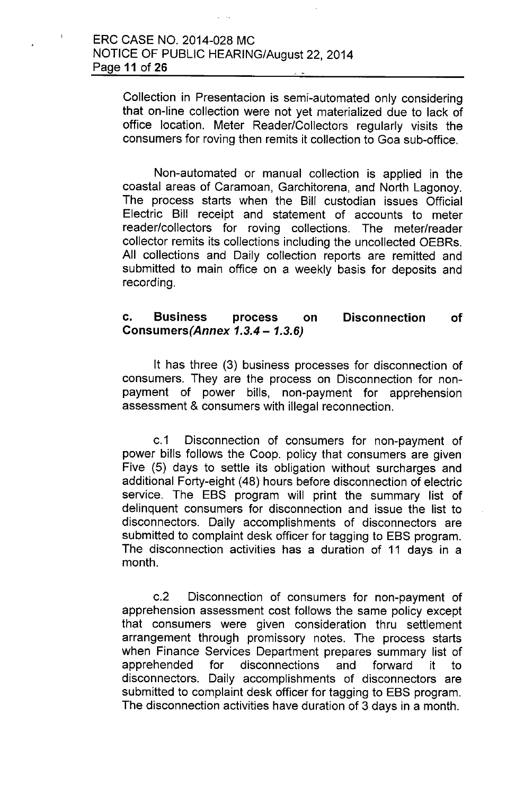Collection in Presentacion is semi-automated only considering that on-line collection were not yet materialized due to lack of office location. Meter Reader/Collectors regularly visits the consumers for roving then remits it collection to Goa sub-office.

Non-automated or manual collection is applied in the coastal areas of Caramoan, Garchitorena, and North Lagonoy. The process starts when the Bill custodian issues Official Electric Bill receipt and statement of accounts to meter reader/collectors for roving collections. The meter/reader collector remits its collections including the uncollected OEBRs. All collections and Daily collection reports are remitted and submitted to main office on a weekly basis for deposits and recording.

#### c. Business process on *Consumers(Annex* 1.3.4 - 1.3.6) Disconnection of

It has three (3) business processes for disconnection of consumers. They are the process on Disconnection for nonpayment of power bills, non-payment for apprehension assessment & consumers with illegal reconnection.

c.1 Disconnection of consumers for non-payment of power bills follows the Coop. policy that consumers are given Five (5) days to settle its obligation without surcharges and additional Forty-eight (48) hours before disconnection of electric service. The EBS program will print the summary list of delinquent consumers for disconnection and issue the list to disconnectors. Daily accomplishments of disconnectors are submitted to complaint desk officer for tagging to EBS program. The disconnection activities has a duration of 11 days in a month.

c.2 Disconnection of consumers for non-payment of apprehension assessment cost follows the same policy except that consumers were given consideration thru settlement arrangement through promissory notes. The process starts when Finance Services Department prepares summary list of apprehended for disconnections and forward it to disconnectors. Daily accomplishments of disconnectors are submitted to complaint desk officer for tagging to EBS program. The disconnection activities have duration of 3 days in a month.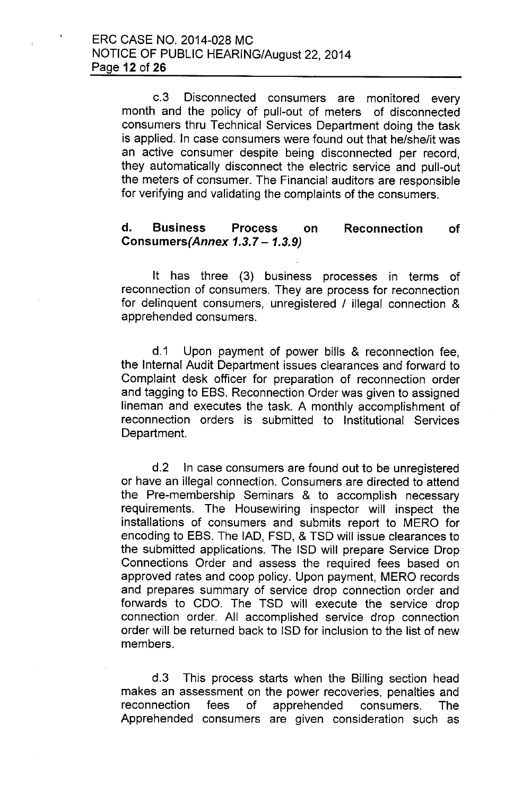c.3 Disconnected consumers are monitored every month and the policy of pull-out of meters of disconnected consumers thru Technical Services Department doing the task is applied. In case consumers were found out that he/she/it was an active consumer despite being disconnected per record, they automatically disconnect the electric service and pull-out the meters of consumer. The Financial auditors are responsible for verifying and validating the complaints of the consumers.

#### d. Business Process on *Consumers(Annex* 1.3.7 - 1.3.9) Reconnection of

It has three (3) business processes in terms of reconnection of consumers. They are process for reconnection for delinquent consumers, unregistered / illegal connection & apprehended consumers.

d.1 Upon payment of power bills & reconnection fee, the Internal Audit Department issues clearances and forward to Complaint desk officer for preparation of reconnection order and tagging to EBS. Reconnection Order was given to assigned lineman and executes the task. A monthly accomplishment of reconnection orders is submitted to Institutional Services Department.

d.2 In case consumers are found out to be unregistered or have an illegal connection. Consumers are directed to attend the Pre-membership Seminars & to accomplish necessary requirements. The Housewiring inspector will inspect the installations of consumers and submits report to MERO for encoding to EBS. The lAD, FSD, & TSD will issue clearances to the submitted applications. The ISO will prepare Service Drop Connections Order and assess the required fees based on approved rates and coop policy. Upon payment, MERO records and prepares summary of service drop connection order and forwards to COO. The TSD will execute the service drop connection order. All accomplished service drop connection order will be returned back to ISO for inclusion to the list of new members.

d.3 This process starts when the Billing section head makes an assessment on the power recoveries, penalties and reconnection fees of apprehended consumers. The Apprehended consumers are given consideration such as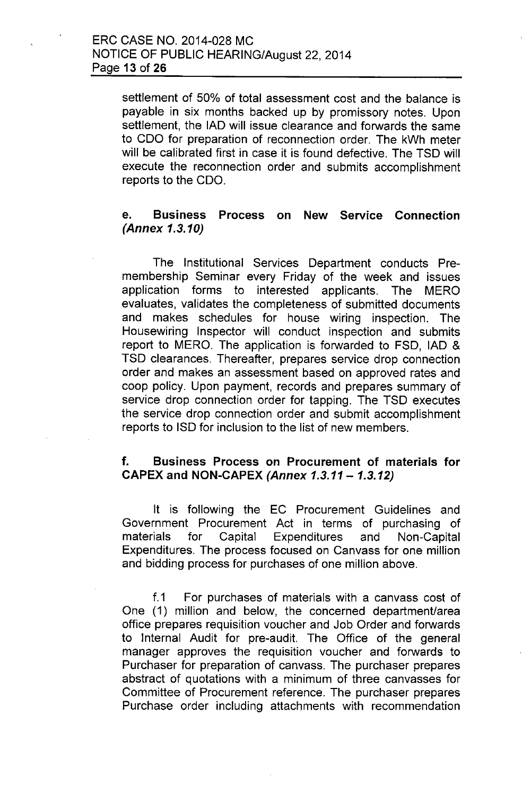settlement of 50% of total assessment cost and the balance is payable in six months backed up by promissory notes. Upon settlement, the lAD will issue clearance and forwards the same to CDO for preparation of reconnection order. The kWh meter will be calibrated first in case it is found defective. The TSD will execute the reconnection order and submits accomplishment reports to the CDO.

#### e. Business Process on New Service Connection *(Annex 1.3.10)*

The Institutional Services Department conducts Premembership Seminar every Friday of the week and issues application forms to interested applicants. The MERO evaluates, validates the completeness of submitted documents and makes schedules for house wiring inspection. The Housewiring Inspector will conduct inspection and submits report to MERO. The application is forwarded to FSD, lAD & TSD clearances. Thereafter, prepares service drop connection order and makes an assessment based on approved rates and coop policy. Upon payment, records and prepares summary of service drop connection order for tapping. The TSD executes the service drop connection order and submit accomplishment reports to ISD for inclusion to the list of new members.

#### f. Business Process on Procurement of materials for CAPEX and NON-CAPEX *(Annex* 1.3.11- 1.3.12)

It is following the EC Procurement Guidelines and Government Procurement Act in terms of purchasing of materials for Capital Expenditures and Non-Capital Expenditures. The process focused on Canvass for one million and bidding process for purchases of one million above.

f.1 For purchases of materials with a canvass cost of One (1) million and below, the concerned department/area office prepares requisition voucher and Job Order and forwards to Internal Audit for pre-audit. The Office of the general manager approves the requisition voucher and forwards to Purchaser for preparation of canvass. The purchaser prepares abstract of quotations with a minimum of three canvasses for Committee of Procurement reference. The purchaser prepares Purchase order including attachments with recommendation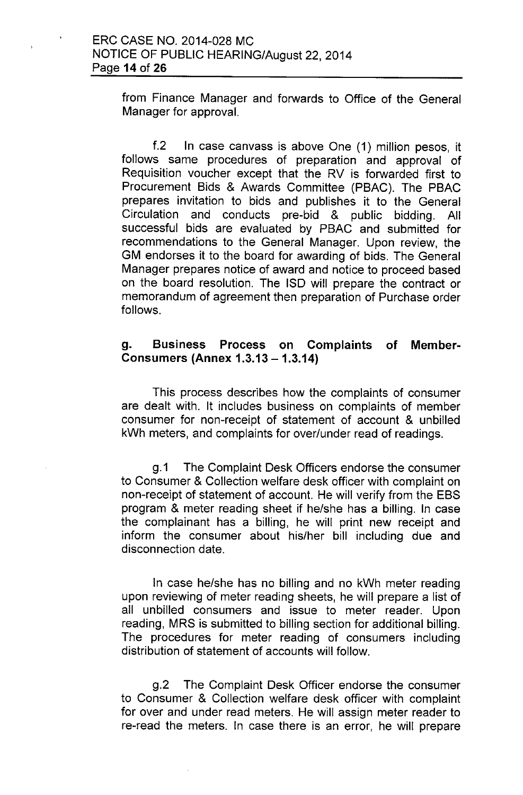from Finance Manager and forwards to Office of the General Manager for approval.

f.2 In case canvass is above One (1) million pesos, it follows same procedures of preparation and approval of Requisition voucher except that the RV is forwarded first to Procurement Bids & Awards Committee (PBAC). The PBAC prepares invitation to bids and publishes it to the General Circulation and conducts pre-bid & public bidding. All successful bids are evaluated by PBAC and submitted for recommendations to the General Manager. Upon review, the GM endorses it to the board for awarding of bids. The General Manager prepares notice of award and notice to proceed based on the board resolution. The ISO will prepare the contract or memorandum of agreement then preparation of Purchase order follows.

#### g. Business Process on Complaints of Member-Consumers (Annex 1.3.13 - 1.3.14)

This process describes how the complaints of consumer are dealt with. It includes business on complaints of member consumer for non-receipt of statement of account & unbilled kWh meters, and complaints for over/under read of readings.

g.1 The Complaint Desk Officers endorse the consumer to Consumer & Collection welfare desk officer with complaint on non-receipt of statement of account. He will verify from the EBS program & meter reading sheet if he/she has a billing. In case the complainant has a billing, he will print new receipt and inform the consumer about his/her bill including due and disconnection date.

In case he/she has no billing and no kWh meter reading upon reviewing of meter reading sheets, he will prepare a list of all unbilled consumers and issue to meter reader. Upon reading, MRS is submitted to billing section for additional billing. The procedures for meter reading of consumers including distribution of statement of accounts will follow.

g.2 The Complaint Desk Officer endorse the consumer to Consumer & Collection welfare desk officer with complaint for over and under read meters. He will assign meter reader to re-read the meters. In case there is an error, he will prepare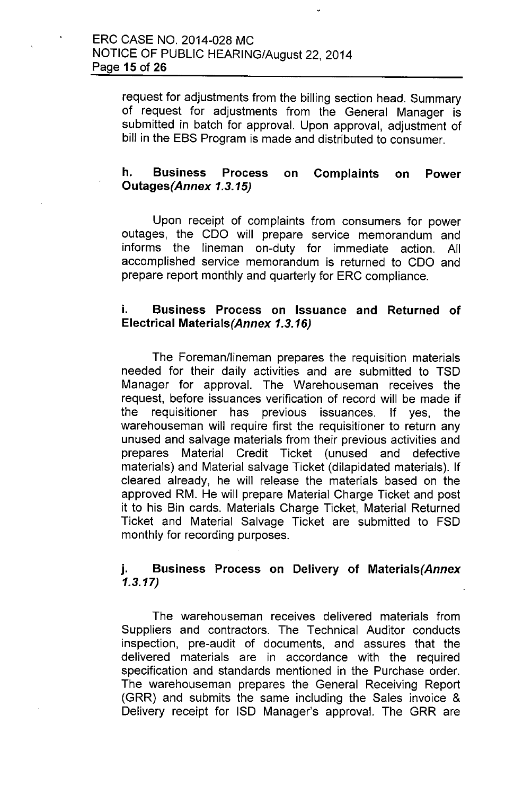request for adjustments from the billing section head. Summary of request for adjustments from the General Manager is submitted in batch for approval. Upon approval, adjustment of bill in the EBS Program is made and distributed to consumer.

#### h. Business Process on Complaints on Power *Outages(Annex 1.3.15)*

Upon receipt of complaints from consumers for power outages, the COO will prepare service memorandum and informs the lineman on-duty for immediate action. All accomplished service memorandum is returned to COO and prepare report monthly and quarterly for ERC compliance.

#### i. Business Process on Issuance and Returned of Electrical *Materials(Annex 1.3.16)*

The Foreman/lineman prepares the requisition materials needed for their daily activities and are submitted to TSD Manager for approval. The Warehouseman receives the request, before issuances verification of record will be made if the requisitioner has previous issuances. If yes, the warehouseman will require first the requisitioner to return any unused and salvage materials from their previous activities and prepares Material Credit Ticket (unused and defective materials) and Material salvage Ticket (dilapidated materials). If cleared already, he will release the materials based on the approved RM. He will prepare Material Charge Ticket and post it to his Bin cards. Materials Charge Ticket, Material Returned Ticket and Material Salvage Ticket are submitted to FSD monthly for recording purposes.

### j. Business Process on Delivery of *Materials(Annex* 1.3.17)

The warehouseman receives delivered materials from Suppliers and contractors. The Technical Auditor conducts inspection, pre-audit of documents, and assures that the delivered materials are in accordance with the required specification and standards mentioned in the Purchase order. The warehouseman prepares the General Receiving Report (GRR) and submits the same including the Sales invoice & Delivery receipt for ISO Manager's approval. The GRR are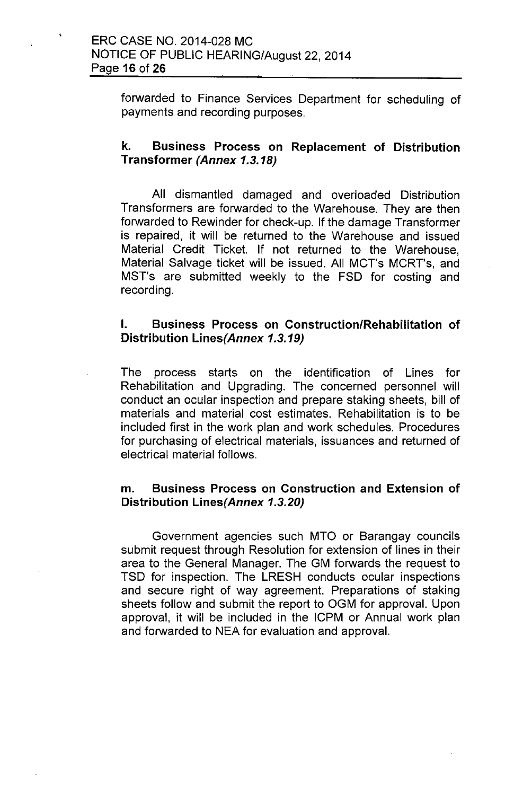forwarded to Finance Services Department for scheduling of payments and recording purposes.

### k. Business Process on Replacement of Distribution Transformer *(Annex 1.3.18)*

All dismantled damaged and overloaded Distribution Transformers are forwarded to the Warehouse. They are then forwarded to Rewinder for check-up. If the damage Transformer is repaired, it will be returned to the Warehouse and issued Material Credit Ticket. If not returned to the Warehouse, Material Salvage ticket will be issued. All MCT's MCRT's, and MST's are submitted weekly to the FSD for costing and recording.

### I. Business Process on Construction/Rehabilitation of Distribution Lines(Annex 1.3.19)

The process starts on the identification of Lines for Rehabilitation and Upgrading. The concerned personnel will conduct an ocular inspection and prepare staking sheets, bill of materials and material cost estimates. Rehabilitation is to be included first in the work plan and work schedules. Procedures for purchasing of electrical materials, issuances and returned of electrical material follows.

### m. Business Process on Construction and Extension of Distribution Lines(Annex *1.3.20)*

Government agencies such MTO or Barangay councils submit request through Resolution for extension of lines in their area to the General Manager. The GM forwards the request to TSD for inspection. The LRESH conducts ocular inspections and secure right of way agreement. Preparations of staking sheets follow and submit the report to OGM for approval. Upon approval, it will be included in the ICPM or Annual work plan and forwarded to NEA for evaluation and approval.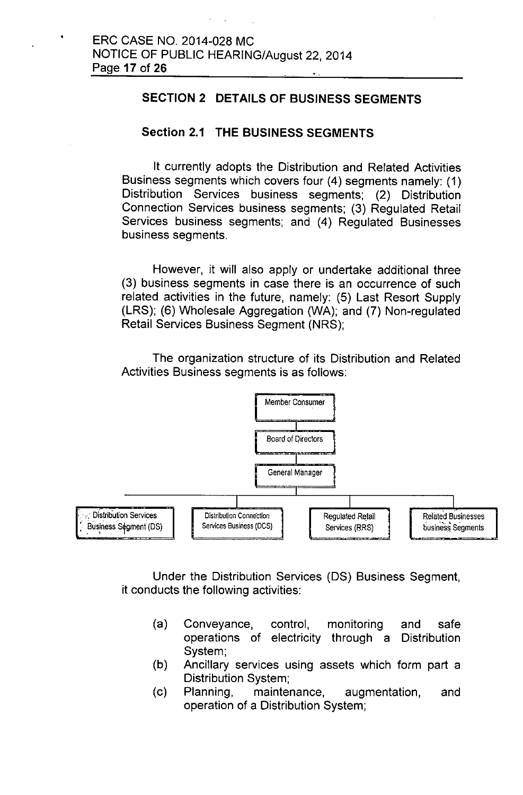#### **SECTION 2 DETAILS OF BUSINESS SEGMENTS**

#### **Section 2.1 THE BUSINESS SEGMENTS**

It currently adopts the Distribution and Related Activities Business segments which covers four (4) segments namely: (1) Distribution Services business segments; (2) Distribution Connection Services business segments; (3) Regulated Retail Services business segments; and (4) Regulated Businesses business segments.

However, it will also apply or undertake additional three (3) business segments in case there is an occurrence of such related activities in the future, namely: (5) Last Resort Supply (LRS); (6) Wholesale Aggregation (WA); and (7) Non-regulated Retail Services Business Segment (NRS);

The organization structure of its Distribution and Related Activities Business segments is as follows:



Under the Distribution Services (OS) Business Segment, it conducts the following activities:

- (a) Conveyance, control, monitoring and safe operations of electricity through a Distribution System;
- (b) Ancillary services using assets which form part a Distribution System;
- (c) Planning, maintenance, augmentation, and operation of a Distribution System;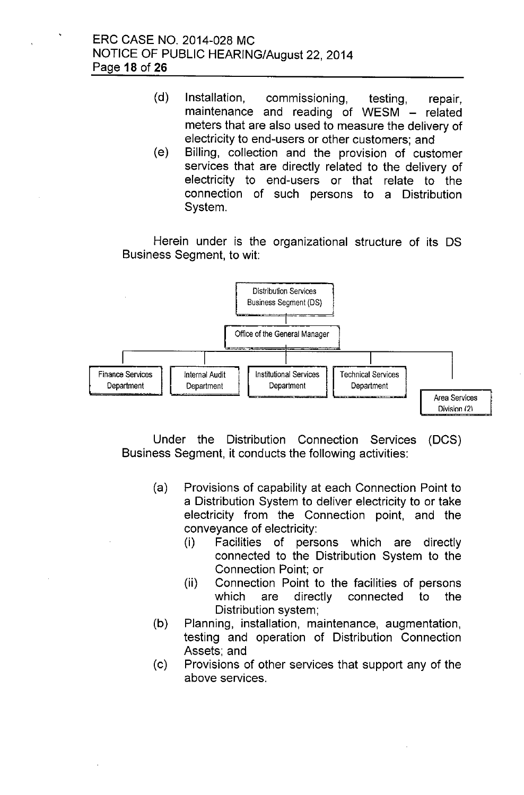- (d) Installation, commissioning, testing, repair, maintenance and reading of WESM - related meters that are also used to measure the delivery of electricity to end-users or other customers; and
- *(e)* Billing, collection and the provision of customer services that are directly related to the delivery of electricity to end-users or that relate to the connection of such persons to a Distribution System.

Herein under is the organizational structure of its OS Business Segment, to wit:



Under the Distribution Connection Services (DCS) Business Segment, it conducts the following activities:

- (a) Provisions of capability at each Connection Point to a Distribution System to deliver electricity to or take electricity from the Connection point, and the conveyance of electricity:
	- (i) Facilities of persons which are directly connected to the Distribution System to the Connection Point; or
	- (ii) Connection Point to the facilities of persons which are directly connected to the Distribution system;
- (b) Planning, installation, maintenance, augmentation, testing and operation of Distribution Connection Assets; and
- (c) Provisions of other services that support any of the above services.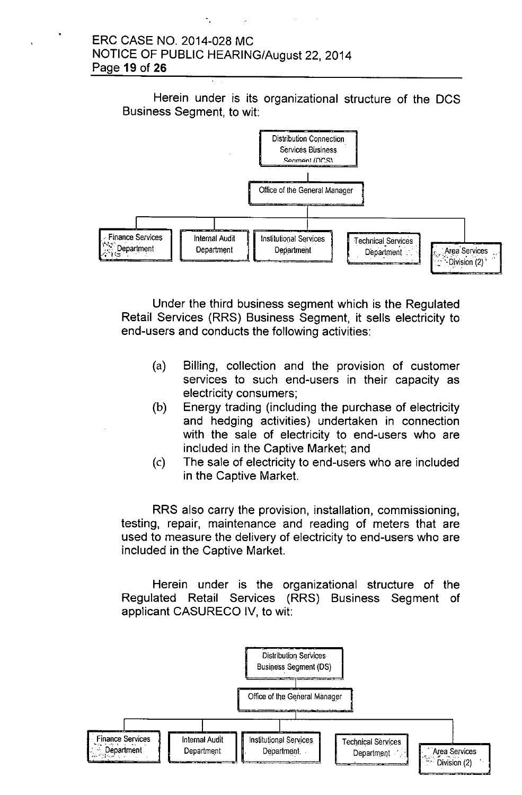#### ERC CASE NO. 2014-028 MC NOTICE OF PUBLIC HEARING/August 22, 2014 Page **19 of 26**

Herein under is its organizational structure of the DCS Business Segment, to wit:



Under the third business segment which is the Regulated Retail Services (RRS) Business Segment, it sells electricity to end-users and conducts the following activities:

- (a) Billing, collection and the provision of customer services to such end-users in their capacity as electricity consumers;
- (b) Energy trading (including the purchase of electricity and hedging activities) undertaken in connection with the sale of electricity to end-users who are included in the Captive Market; and
- (c) The sale of electricity to end-users who are included in the Captive Market.

RRS also carry the provision, installation, commissioning, testing, repair, maintenance and reading of meters that are used to measure the delivery of electricity to end-users who are included in the Captive Market.

Herein under is the organizational structure of the Regulated Retail Services (RRS) Business Segment of applicant CASURECO IV, to wit:

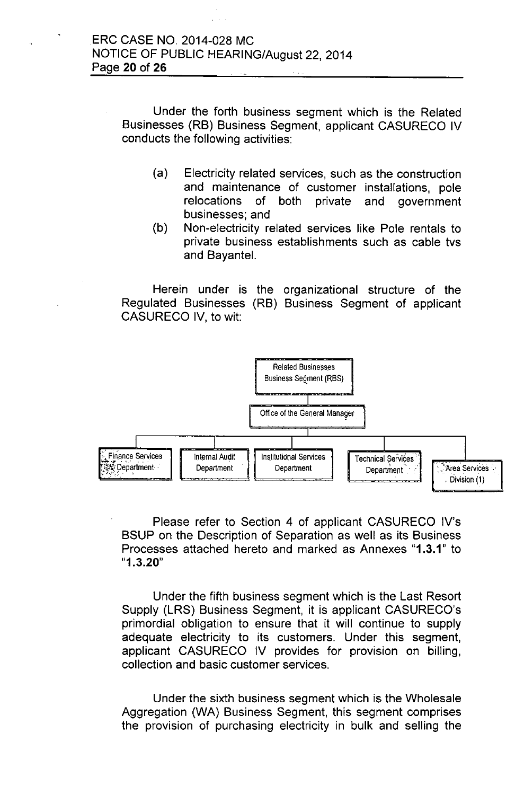Under the forth business segment which is the Related Businesses (RB) Business Segment, applicant CASURECO IV conducts the following activities:

- (a) Electricity related services, such as the construction and maintenance of customer installations, pole relocations of both private and government businesses; and
- (b) Non-electricity related services like Pole rentals to private business establishments such as cable tvs and Bayantel.

Herein under is the organizational structure of the Regulated Businesses (RB) Business Segment of applicant CASURECO IV, to wit:



Please refer to Section 4 of applicant CASURECO IV's BSUP on the Description of Separation as well as its Business Processes attached hereto and marked as Annexes "1.3.1" to "1.3.20"

Under the fifth business segment which is the Last Resort Supply (LRS) Business Segment, it is applicant CASURECO's primordial obligation to ensure that it will continue to supply adequate electricity to its customers, Under this segment, applicant CASURECO IV provides for provision on billing, collection and basic customer services,

Under the sixth business segment which is the Wholesale Aggregation (WA) Business Segment, this segment comprises the provision of purchasing electricity in bulk and selling the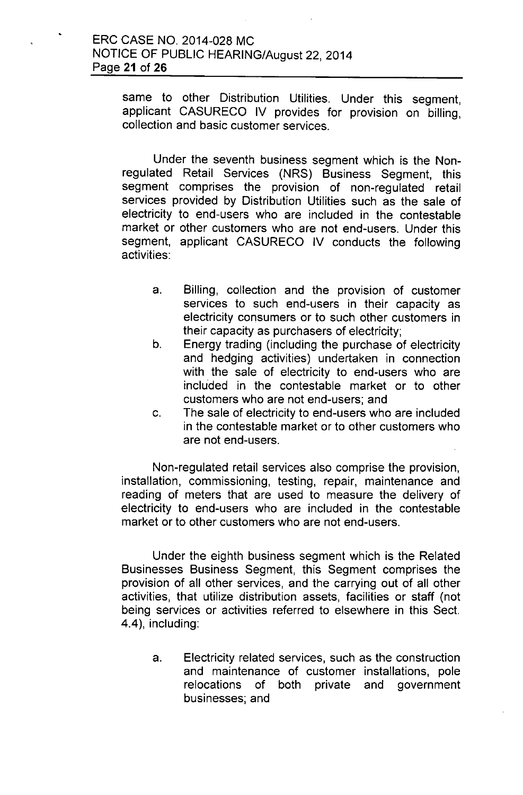same to other Distribution Utilities. Under this segment, applicant CASURECO IV provides for provision on billing, collection and basic customer services.

Under the seventh business segment which is the Nonregulated Retail Services (NRS) Business Segment, this segment comprises the provision of non-regulated retail services provided by Distribution Utilities such as the sale of electricity to end-users who are included in the contestable market or other customers who are not end-users. Under this segment, applicant CASURECO IV conducts the following activities:

- a. Billing, collection and the provision of customer services to such end-users in their capacity as electricity consumers or to such other customers in their capacity as purchasers of electricity;
- b. Energy trading (including the purchase of electricity and hedging activities) undertaken in connection with the sale of electricity to end-users who are included in the contestable market or to other customers who are not end-users; and
- c. The sale of electricity to end-users who are included in the contestable market or to other customers who are not end-users.

Non-regulated retail services also comprise the provision, installation, commissioning, testing, repair, maintenance and reading of meters that are used to measure the delivery of electricity to end-users who are included in the contestable market or to other customers who are not end-users.

Under the eighth business segment which is the Related Businesses Business Segment, this Segment comprises the provision of all other services, and the carrying out of all other activities, that utilize distribution assets, facilities or staff (not being services or activities referred to elsewhere in this Sect. 4.4), including:

a. Electricity related services, such as the construction and maintenance of customer installations, pole relocations of both private and government businesses; and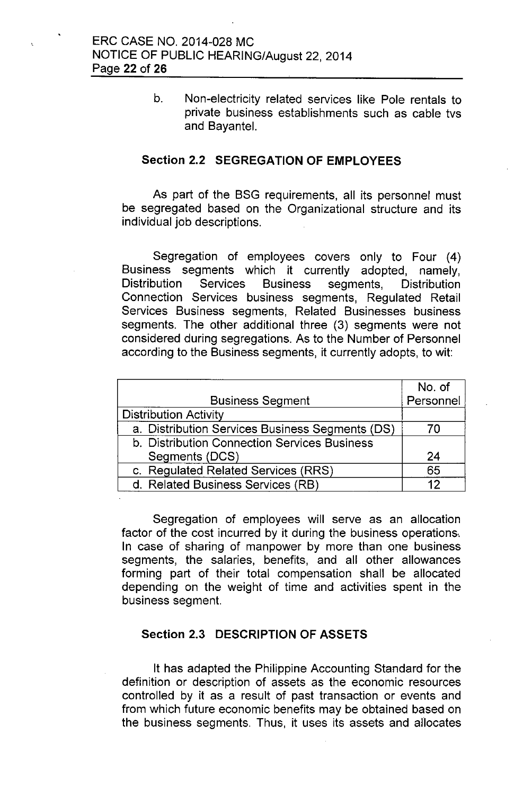b. Non-electricity related services like Pole rentals to private business establishments such as cable tvs and Bayantel.

#### **Section** 2.2 **SEGREGATION OF EMPLOYEES**

As part of the BSG requirements, all its personnel must be segregated based on the Organizational structure and its individual job descriptions.

Segregation of employees covers only to Four (4) Business segments which it currently adopted, namely, Distribution Services Business segments, Distribution Connection Services business segments, Regulated Retail Services Business segments, Related Businesses business segments. The other additional three (3) segments were not considered during segregations. As to the Number of Personnel according to the Business segments, it currently adopts, to wit:

|                                                 | No. of    |
|-------------------------------------------------|-----------|
| <b>Business Segment</b>                         | Personnel |
| <b>Distribution Activity</b>                    |           |
| a. Distribution Services Business Segments (DS) | 70        |
| b. Distribution Connection Services Business    |           |
| Segments (DCS)                                  | 24        |
| c. Regulated Related Services (RRS)             | 65        |
| d. Related Business Services (RB)               | 12        |

Segregation of employees will serve as an allocation factor of the cost incurred by it during the business operations,. In case of sharing of manpower by more than one business segments, the salaries, benefits, and all other allowances forming part of their total compensation shall be allocated depending on the weight of time and activities spent in the business segment.

#### **Section** 2.3 **DESCRIPTION OF ASSETS**

It has adapted the Philippine Accounting Standard for the definition or description of assets as the economic resources controlled by it as a result of past transaction or events and from which future economic benefits may be obtained based on the business segments. Thus, it uses its assets and allocates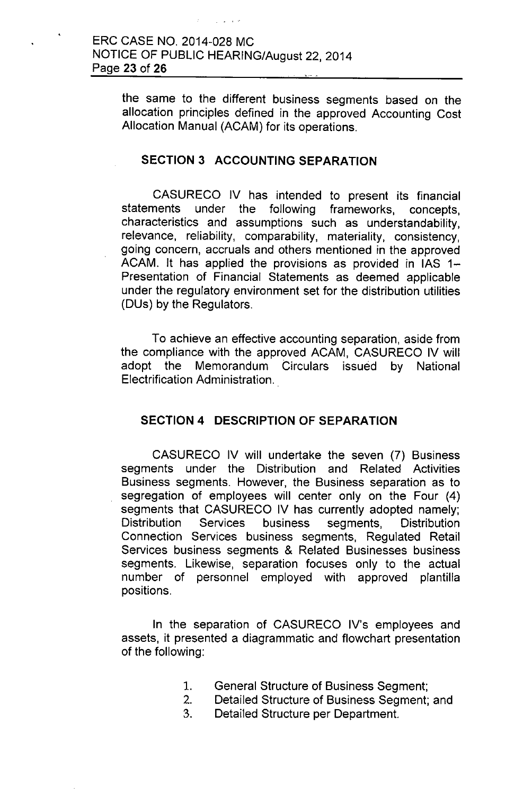the same to the different business segments based on the allocation principles defined in the approved Accounting Cost Allocation Manual (ACAM) for its operations.

#### **SECTION 3 ACCOUNTING SEPARATION**

CASURECO IV has intended to present its financial statements under the following frameworks, concepts, characteristics and assumptions such as understandability, relevance, reliability, comparability, materiality, consistency, going concern, accruals and others mentioned in the approved ACAM. It has applied the provisions as provided in  $IAS$  1-Presentation of Financial Statements as deemed applicable under the regulatory environment set for the distribution utilities (DUs) by the Regulators.

To achieve an effective accounting separation, aside from the compliance with the approved ACAM, CASURECO IV will adopt the Memorandum Circulars issued by National Electrification Administration.

### **SECTION 4 DESCRIPTION OF SEPARATION**

CASURECO IV will undertake the seven (7) Business segments under the Distribution and Related Activities Business segments. However, the Business separation as to segregation of employees will center only on the Four (4) segments that CASURECO IV has currently adopted namely; Distribution Services business segments, Distribution Connection Services business segments, Regulated Retail Services business segments & Related Businesses business segments. Likewise, separation focuses only to the actual number of personnel employed with approved plantilla positions.

In the separation of CASURECO IV's employees and assets, it presented a diagrammatic and flowchart presentation of the following:

- 1. General Structure of Business Segment;
- 2. Detailed Structure of Business Segment; and
- 3. Detailed Structure per Department.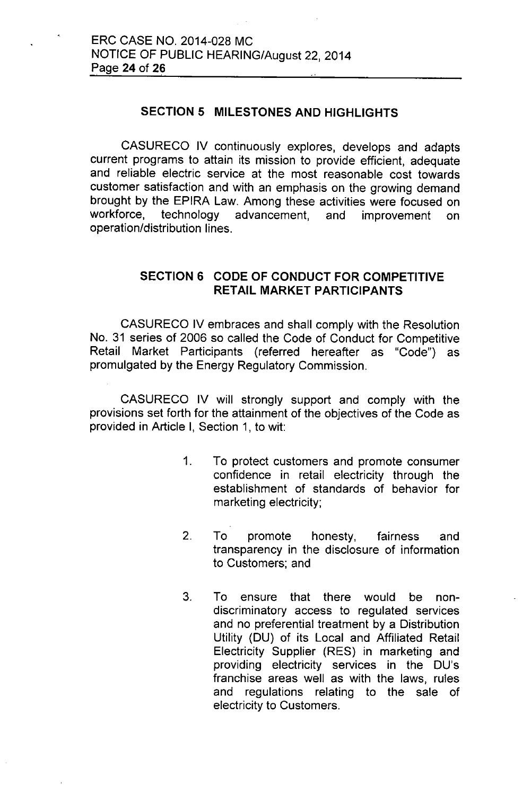### **SECTION 5 MILESTONES AND HIGHLIGHTS**

CASURECO IV continuously explores, develops and adapts current programs to attain its mission to provide efficient, adequate and reliable electric service at the most reasonable cost towards customer satisfaction and with an emphasis on the growing demand brought by the EPIRA Law. Among these activities were focused on workforce, technology advancement, and improvement on operation/distribution lines.

### **SECTION 6 CODE OF CONDUCT FOR COMPETITIVE RETAIL MARKET PARTICIPANTS**

CASURECO IV embraces and shall comply with the Resolution No. 31 series of 2006 so called the Code of Conduct for Competitive Retail Market Participants (referred hereafter as "Code") as promulgated by the Energy Regulatory Commission.

CASURECO IV will strongly support and comply with the provisions set forth for the attainment of the objectives of the Code as provided in Article I, Section 1, to wit:

- 1. To protect customers and promote consumer confidence in retail electricity through the establishment of standards of behavior for marketing electricity;
- 2. To promote honesty, fairness and transparency in the disclosure of information to Customers; and
- 3. **To** ensure that there would be nondiscriminatory access to regulated services and no preferential treatment by a Distribution Utility (DU) of its Local and Affiliated Retail Electricity Supplier (RES) in marketing and providing electricity services in the DU's franchise areas well as with the laws, rules and regulations relating to the sale of electricity to Customers.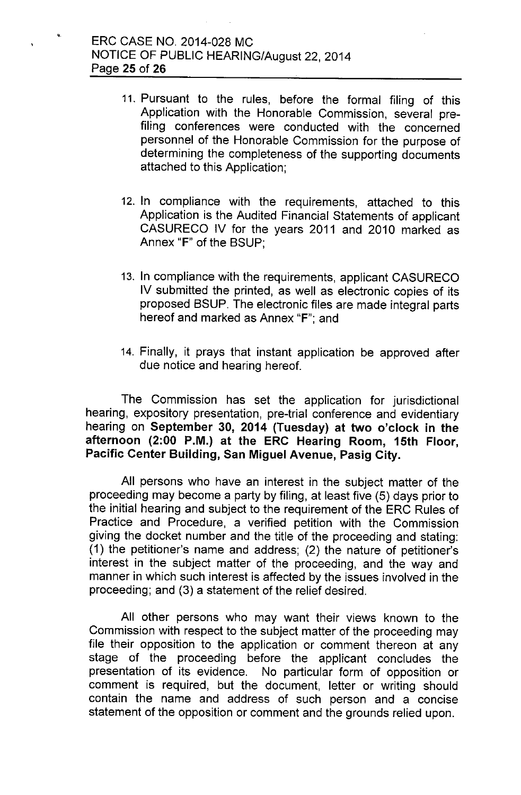•

- 11. Pursuant to the rules, before the formal filing of this Application with the Honorable Commission, several prefiling conferences were conducted with the concerned personnel of the Honorable Commission for the purpose of determining the completeness of the supporting documents attached to this Application;
- 12. In compliance with the requirements, attached to this Application is the Audited Financial Statements of applicant CASURECO IV for the years 2011 and 2010 marked as Annex "F" of the BSUP',
- 13. In compliance with the requirements, applicant CASURECO IV submitted the printed, as well as electronic copies of its proposed BSUP. The electronic files are made integral parts hereof and marked as Annex "F"; and
- 14. Finally, it prays that instant application be approved after due notice and hearing hereof.

The Commission has set the application for jurisdictional hearing, expository presentation, pre-trial conference and evidentiary hearing on September 30, 2014 (Tuesday) at two o'clock in the afternoon (2:00 P.M.) at the ERC Hearing Room, 15th Floor, Pacific Center Building, San Miguel Avenue, Pasig City.

All persons who have an interest in the subject matter of the proceeding may become a party by filing, at least five (5) days prior to the initial hearing and subject to the requirement of the ERC Rules of Practice and Procedure, a verified petition with the Commission giving the docket number and the title of the proceeding and stating: (1) the petitioner's name and address; (2) the nature of petitioner's interest in the subject matter of the proceeding, and the way and manner in which such interest is affected by the issues involved in the proceeding; and (3) a statement of the relief desired.

All other persons who may want their views known to the Commission with respect to the subject matter of the proceeding may file their opposition to the application or comment thereon at any stage of the proceeding before the applicant concludes the presentation of its evidence. No particular form of opposition or comment is required, but the document, letter or writing should contain the name and address of such person and a concise statement of the opposition or comment and the grounds relied upon.